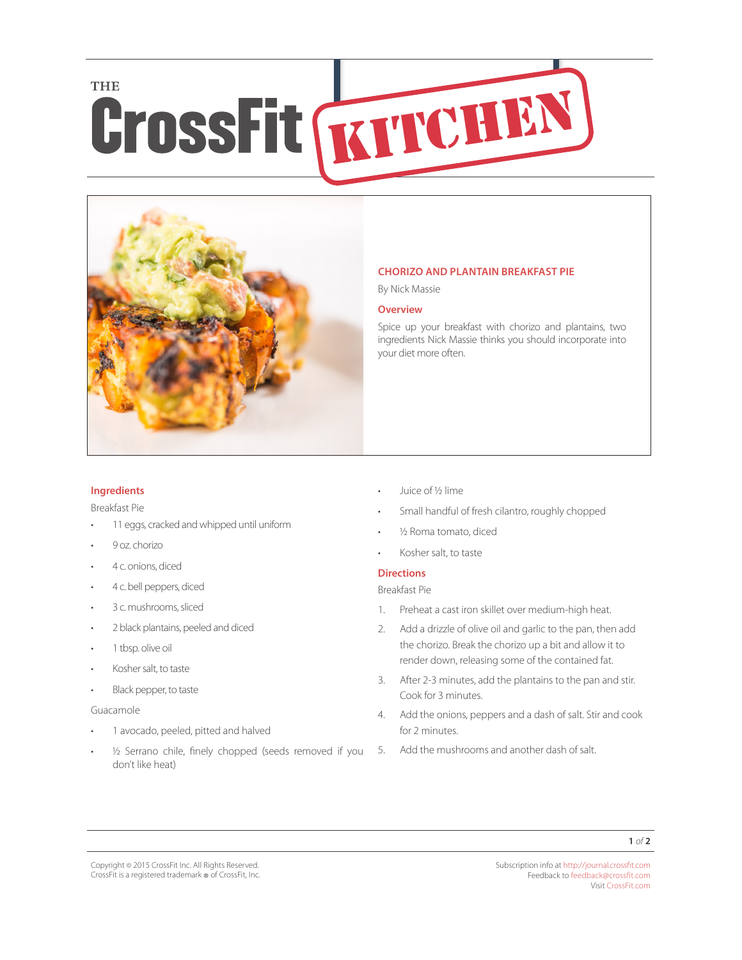# **THE CrossFit GYPTCHEN**



## **CHORIZO AND PLANTAIN BREAKFAST PIE**

By Nick Massie

#### **Overview**

Spice up your breakfast with chorizo and plantains, two ingredients Nick Massie thinks you should incorporate into your diet more often.

## **Ingredients**

Breakfast Pie

- 11 eggs, cracked and whipped until uniform
- 9 oz. chorizo
- 4 c. onions, diced
- 4 c. bell peppers, diced
- 3 c. mushrooms, sliced
- 2 black plantains, peeled and diced
- 1 tbsp. olive oil
- Kosher salt, to taste
- Black pepper, to taste

#### Guacamole

- 1 avocado, peeled, pitted and halved
- ½ Serrano chile, finely chopped (seeds removed if you don't like heat)
- Juice of ½ lime
- Small handful of fresh cilantro, roughly chopped
- 1/<sub>2</sub> Roma tomato, diced
- Kosher salt, to taste

# **Directions**

Breakfast Pie

- 1. Preheat a cast iron skillet over medium-high heat.
- 2. Add a drizzle of olive oil and garlic to the pan, then add the chorizo. Break the chorizo up a bit and allow it to render down, releasing some of the contained fat.
- 3. After 2-3 minutes, add the plantains to the pan and stir. Cook for 3 minutes.
- 4. Add the onions, peppers and a dash of salt. Stir and cook for 2 minutes.
- 5. Add the mushrooms and another dash of salt.

Subscription info at <http://journal.crossfit.com> Feedback to [feedback@crossfit.com](mailto:feedback@crossfit.com) Visit [CrossFit.com](http://www.crossfit.com)